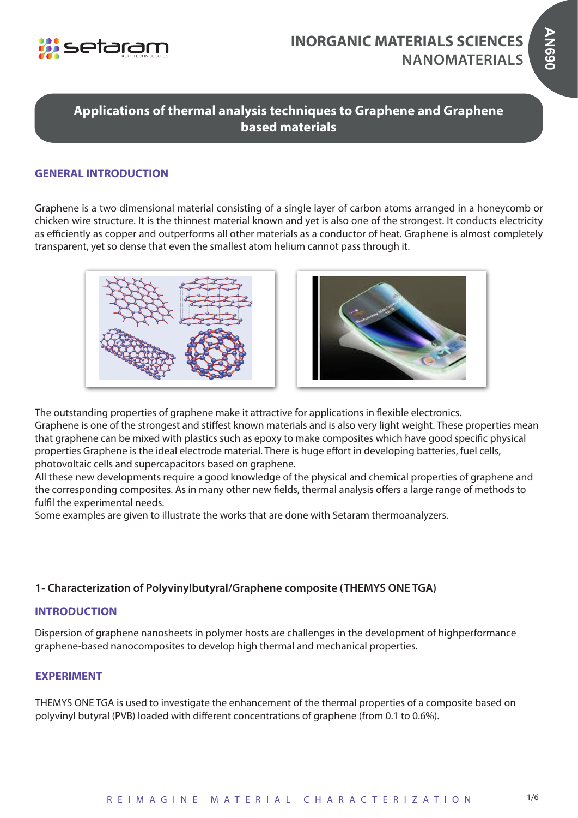

# **Applications of thermal analysis techniques to Graphene and Graphene based materials**

# **GENERAL INTRODUCTION**

Graphene is a two dimensional material consisting of a single layer of carbon atoms arranged in a honeycomb or chicken wire structure. It is the thinnest material known and yet is also one of the strongest. It conducts electricity as efficiently as copper and outperforms all other materials as a conductor of heat. Graphene is almost completely transparent, yet so dense that even the smallest atom helium cannot pass through it.





The outstanding properties of graphene make it attractive for applications in flexible electronics. Graphene is one of the strongest and stiffest known materials and is also very light weight. These properties mean that graphene can be mixed with plastics such as epoxy to make composites which have good specific physical properties Graphene is the ideal electrode material. There is huge effort in developing batteries, fuel cells, photovoltaic cells and supercapacitors based on graphene.

All these new developments require a good knowledge of the physical and chemical properties of graphene and the corresponding composites. As in many other new fields, thermal analysis offers a large range of methods to fulfil the experimental needs.

Some examples are given to illustrate the works that are done with Setaram thermoanalyzers.

## **1- Characterization of Polyvinylbutyral/Graphene composite (THEMYS ONE TGA)**

#### **INTRODUCTION**

Dispersion of graphene nanosheets in polymer hosts are challenges in the development of highperformance graphene-based nanocomposites to develop high thermal and mechanical properties.

#### **EXPERIMENT**

THEMYS ONE TGA is used to investigate the enhancement of the thermal properties of a composite based on polyvinyl butyral (PVB) loaded with different concentrations of graphene (from 0.1 to 0.6%).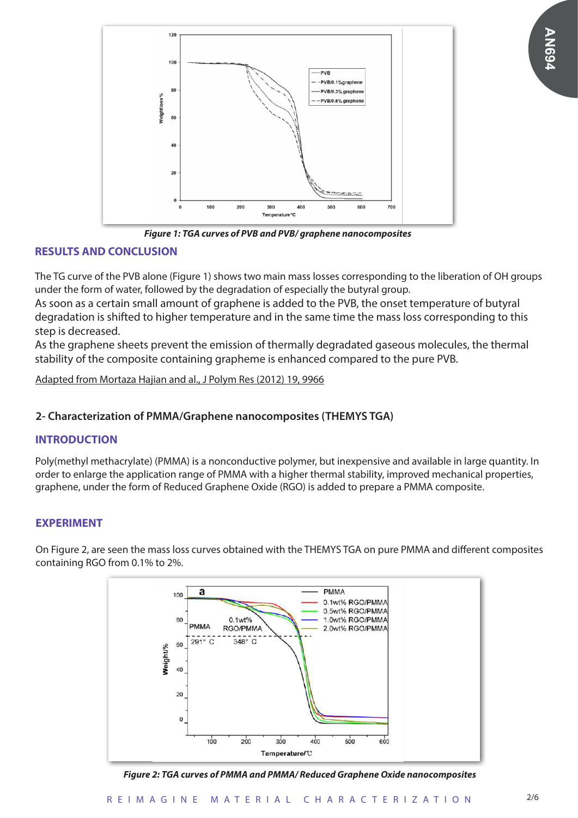

*Figure 1: TGA curves of PVB and PVB/ graphene nanocomposites*

## **RESULTS AND CONCLUSION**

The TG curve of the PVB alone (Figure 1) shows two main mass losses corresponding to the liberation of OH groups under the form of water, followed by the degradation of especially the butyral group.

As soon as a certain small amount of graphene is added to the PVB, the onset temperature of butyral degradation is shifted to higher temperature and in the same time the mass loss corresponding to this step is decreased.

As the graphene sheets prevent the emission of thermally degradated gaseous molecules, the thermal stability of the composite containing grapheme is enhanced compared to the pure PVB.

Adapted from Mortaza Hajian and al., J Polym Res (2012) 19, 9966

## **2- Characterization of PMMA/Graphene nanocomposites (THEMYS TGA)**

## **INTRODUCTION**

Poly(methyl methacrylate) (PMMA) is a nonconductive polymer, but inexpensive and available in large quantity. In order to enlarge the application range of PMMA with a higher thermal stability, improved mechanical properties, graphene, under the form of Reduced Graphene Oxide (RGO) is added to prepare a PMMA composite.

## **EXPERIMENT**



On Figure 2, are seen the mass loss curves obtained with the THEMYS TGA on pure PMMA and different composites containing RGO from 0.1% to 2%.

*Figure 2: TGA curves of PMMA and PMMA/ Reduced Graphene Oxide nanocomposites*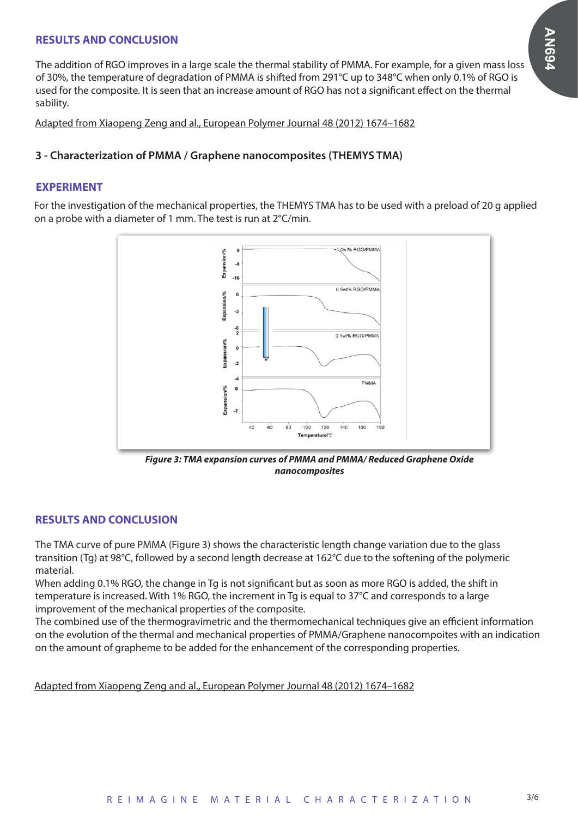## **RESULTS AND CONCLUSION**

The addition of RGO improves in a large scale the thermal stability of PMMA. For example, for a given mass loss of 30%, the temperature of degradation of PMMA is shifted from 291°C up to 348°C when only 0.1% of RGO is used for the composite. It is seen that an increase amount of RGO has not a significant effect on the thermal sability.

Adapted from Xiaopeng Zeng and al., European Polymer Journal 48 (2012) 1674–1682

#### **3 - Characterization of PMMA / Graphene nanocomposites (THEMYS TMA)**

#### **EXPERIMENT**

For the investigation of the mechanical properties, the THEMYS TMA has to be used with a preload of 20 g applied on a probe with a diameter of 1 mm. The test is run at 2°C/min.



*Figure 3: TMA expansion curves of PMMA and PMMA/ Reduced Graphene Oxide nanocomposites*

#### **RESULTS AND CONCLUSION**

The TMA curve of pure PMMA (Figure 3) shows the characteristic length change variation due to the glass transition (Tg) at 98°C, followed by a second length decrease at 162°C due to the softening of the polymeric material.

When adding 0.1% RGO, the change in Tg is not significant but as soon as more RGO is added, the shift in temperature is increased. With 1% RGO, the increment in Tg is equal to 37°C and corresponds to a large improvement of the mechanical properties of the composite.

The combined use of the thermogravimetric and the thermomechanical techniques give an efficient information on the evolution of the thermal and mechanical properties of PMMA/Graphene nanocompoites with an indication on the amount of grapheme to be added for the enhancement of the corresponding properties.

Adapted from Xiaopeng Zeng and al., European Polymer Journal 48 (2012) 1674–1682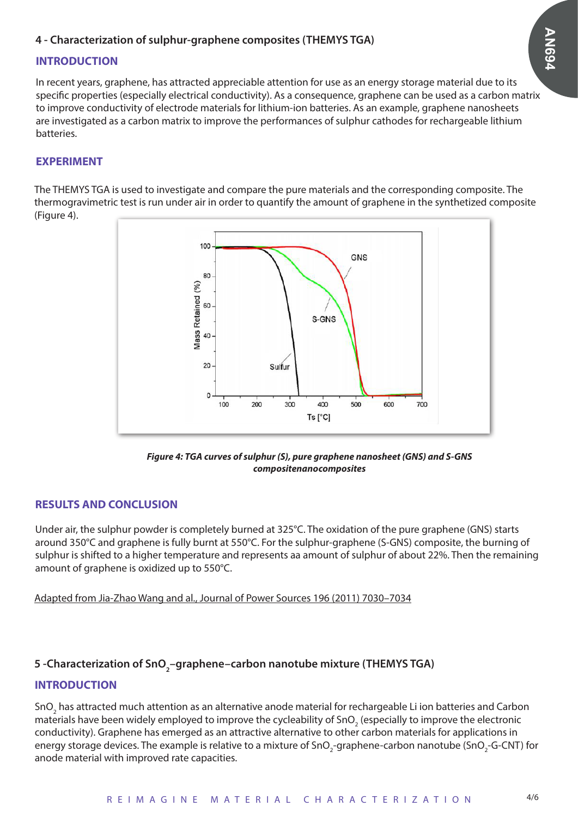## **4 - Characterization of sulphur-graphene composites (THEMYS TGA)**

## **INTRODUCTION**

In recent years, graphene, has attracted appreciable attention for use as an energy storage material due to its specific properties (especially electrical conductivity). As a consequence, graphene can be used as a carbon matrix to improve conductivity of electrode materials for lithium-ion batteries. As an example, graphene nanosheets are investigated as a carbon matrix to improve the performances of sulphur cathodes for rechargeable lithium batteries.

#### **EXPERIMENT**

The THEMYS TGA is used to investigate and compare the pure materials and the corresponding composite. The thermogravimetric test is run under air in order to quantify the amount of graphene in the synthetized composite (Figure 4).



*Figure 4: TGA curves of sulphur (S), pure graphene nanosheet (GNS) and S-GNS compositenanocomposites*

## **RESULTS AND CONCLUSION**

Under air, the sulphur powder is completely burned at 325°C. The oxidation of the pure graphene (GNS) starts around 350°C and graphene is fully burnt at 550°C. For the sulphur-graphene (S-GNS) composite, the burning of sulphur is shifted to a higher temperature and represents aa amount of sulphur of about 22%. Then the remaining amount of graphene is oxidized up to 550°C.

#### Adapted from Jia-Zhao Wang and al., Journal of Power Sources 196 (2011) 7030–7034

# 5 -Characterization of SnO<sub>2</sub>–graphene–carbon nanotube mixture (THEMYS TGA)

#### **INTRODUCTION**

SnO<sub>2</sub> has attracted much attention as an alternative anode material for rechargeable Li ion batteries and Carbon materials have been widely employed to improve the cycleability of SnO $_2$  (especially to improve the electronic conductivity). Graphene has emerged as an attractive alternative to other carbon materials for applications in energy storage devices. The example is relative to a mixture of SnO<sub>2</sub>-graphene-carbon nanotube (SnO<sub>2</sub>-G-CNT) for anode material with improved rate capacities.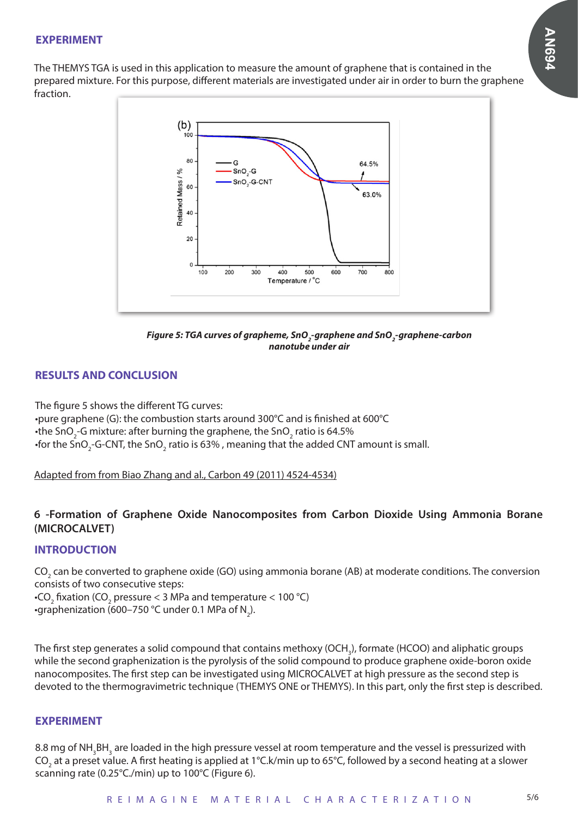# **AN694**

#### **EXPERIMENT**

The THEMYS TGA is used in this application to measure the amount of graphene that is contained in the prepared mixture. For this purpose, different materials are investigated under air in order to burn the graphene fraction.





## **RESULTS AND CONCLUSION**

The figure 5 shows the different TG curves: •pure graphene (G): the combustion starts around 300°C and is finished at 600°C •the SnO<sub>2</sub>-G mixture: after burning the graphene, the SnO<sub>2</sub> ratio is 64.5%  $\cdot$ for the SnO $_2$ -G-CNT, the SnO $_2$  ratio is 63% , meaning that the added CNT amount is small.

Adapted from from Biao Zhang and al., Carbon 49 (2011) 4524-4534)

## **6 -Formation of Graphene Oxide Nanocomposites from Carbon Dioxide Using Ammonia Borane (MICROCALVET)**

## **INTRODUCTION**

CO<sub>2</sub> can be converted to graphene oxide (GO) using ammonia borane (AB) at moderate conditions. The conversion consists of two consecutive steps:

 $\cdot$ CO<sub>2</sub> fixation (CO<sub>2</sub> pressure < 3 MPa and temperature < 100 °C)  $\cdot$ graphenization (600–750 °C under 0.1 MPa of N $_{2}$ ).

The first step generates a solid compound that contains methoxy (OCH<sub>3</sub>), formate (HCOO) and aliphatic groups while the second graphenization is the pyrolysis of the solid compound to produce graphene oxide-boron oxide nanocomposites. The first step can be investigated using MICROCALVET at high pressure as the second step is devoted to the thermogravimetric technique (THEMYS ONE or THEMYS). In this part, only the first step is described.

#### **EXPERIMENT**

8.8 mg of NH<sub>3</sub>BH<sub>3</sub> are loaded in the high pressure vessel at room temperature and the vessel is pressurized with CO<sub>2</sub> at a preset value. A first heating is applied at 1°C.k/min up to 65°C, followed by a second heating at a slower scanning rate (0.25°C./min) up to 100°C (Figure 6).